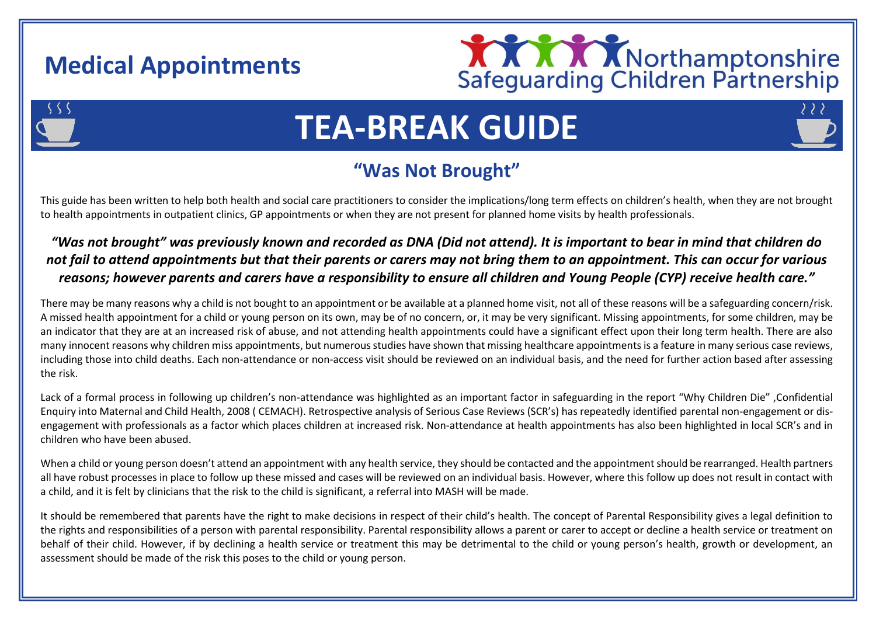## **Medical Appointments**



# **TEA-BREAK GUIDE**

### **"Was Not Brought"**

This guide has been written to help both health and social care practitioners to consider the implications/long term effects on children's health, when they are not brought to health appointments in outpatient clinics, GP appointments or when they are not present for planned home visits by health professionals.

#### *"Was not brought" was previously known and recorded as DNA (Did not attend). It is important to bear in mind that children do not fail to attend appointments but that their parents or carers may not bring them to an appointment. This can occur for various reasons; however parents and carers have a responsibility to ensure all children and Young People (CYP) receive health care."*

There may be many reasons why a child is not bought to an appointment or be available at a planned home visit, not all of these reasons will be a safeguarding concern/risk. A missed health appointment for a child or young person on its own, may be of no concern, or, it may be very significant. Missing appointments, for some children, may be an indicator that they are at an increased risk of abuse, and not attending health appointments could have a significant effect upon their long term health. There are also many innocent reasons why children miss appointments, but numerous studies have shown that missing healthcare appointments is a feature in many serious case reviews, including those into child deaths. Each non-attendance or non-access visit should be reviewed on an individual basis, and the need for further action based after assessing the risk.

Lack of a formal process in following up children's non-attendance was highlighted as an important factor in safeguarding in the report "Why Children Die" ,Confidential Enquiry into Maternal and Child Health, 2008 ( CEMACH). Retrospective analysis of Serious Case Reviews (SCR's) has repeatedly identified parental non-engagement or disengagement with professionals as a factor which places children at increased risk. Non-attendance at health appointments has also been highlighted in local SCR's and in children who have been abused.

When a child or young person doesn't attend an appointment with any health service, they should be contacted and the appointment should be rearranged. Health partners all have robust processes in place to follow up these missed and cases will be reviewed on an individual basis. However, where this follow up does not result in contact with a child, and it is felt by clinicians that the risk to the child is significant, a referral into MASH will be made.

It should be remembered that parents have the right to make decisions in respect of their child's health. The concept of Parental Responsibility gives a legal definition to the rights and responsibilities of a person with parental responsibility. Parental responsibility allows a parent or carer to accept or decline a health service or treatment on behalf of their child. However, if by declining a health service or treatment this may be detrimental to the child or young person's health, growth or development, an assessment should be made of the risk this poses to the child or young person.